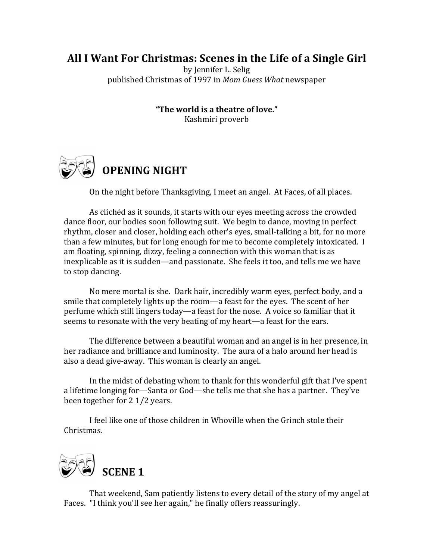## All I Want For Christmas: Scenes in the Life of a Single Girl

by Jennifer L. Selig published Christmas of 1997 in *Mom Guess What* newspaper

> **"The world is a theatre of love."**  Kashmiri proverb



On the night before Thanksgiving, I meet an angel. At Faces, of all places.

As clichéd as it sounds, it starts with our eyes meeting across the crowded dance floor, our bodies soon following suit. We begin to dance, moving in perfect rhythm, closer and closer, holding each other's eyes, small-talking a bit, for no more than a few minutes, but for long enough for me to become completely intoxicated. I am floating, spinning, dizzy, feeling a connection with this woman that is as inexplicable as it is sudden—and passionate. She feels it too, and tells me we have to stop dancing.

No mere mortal is she. Dark hair, incredibly warm eyes, perfect body, and a smile that completely lights up the room—a feast for the eyes. The scent of her perfume which still lingers today—a feast for the nose. A voice so familiar that it seems to resonate with the very beating of my heart—a feast for the ears.

The difference between a beautiful woman and an angel is in her presence, in her radiance and brilliance and luminosity. The aura of a halo around her head is also a dead give-away. This woman is clearly an angel.

In the midst of debating whom to thank for this wonderful gift that I've spent a lifetime longing for—Santa or God—she tells me that she has a partner. They've been together for 2 1/2 years.

I feel like one of those children in Whoville when the Grinch stole their Christmas.



That weekend, Sam patiently listens to every detail of the story of my angel at Faces. "I think you'll see her again," he finally offers reassuringly.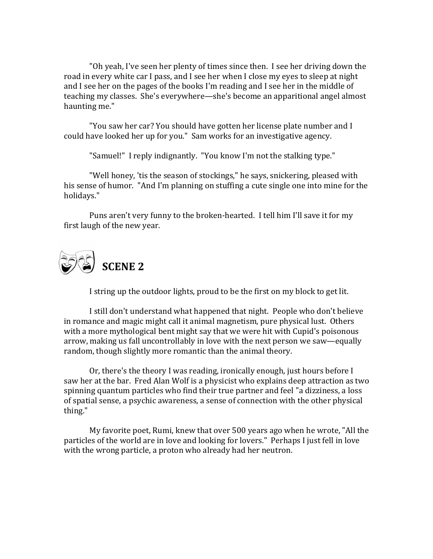"Oh yeah, I've seen her plenty of times since then. I see her driving down the road in every white car I pass, and I see her when I close my eves to sleep at night and I see her on the pages of the books I'm reading and I see her in the middle of teaching my classes. She's everywhere—she's become an apparitional angel almost haunting me."

"You saw her car? You should have gotten her license plate number and I could have looked her up for you." Sam works for an investigative agency.

"Samuel!" I reply indignantly. "You know I'm not the stalking type."

"Well honey, 'tis the season of stockings," he says, snickering, pleased with his sense of humor. "And I'm planning on stuffing a cute single one into mine for the holidays."

Puns aren't very funny to the broken-hearted. I tell him I'll save it for my first laugh of the new year.



I string up the outdoor lights, proud to be the first on my block to get lit.

I still don't understand what happened that night. People who don't believe in romance and magic might call it animal magnetism, pure physical lust. Others with a more mythological bent might say that we were hit with Cupid's poisonous arrow, making us fall uncontrollably in love with the next person we saw—equally random, though slightly more romantic than the animal theory.

Or, there's the theory I was reading, ironically enough, just hours before I saw her at the bar. Fred Alan Wolf is a physicist who explains deep attraction as two spinning quantum particles who find their true partner and feel "a dizziness, a loss of spatial sense, a psychic awareness, a sense of connection with the other physical thing." 

My favorite poet, Rumi, knew that over 500 years ago when he wrote, "All the particles of the world are in love and looking for lovers." Perhaps I just fell in love with the wrong particle, a proton who already had her neutron.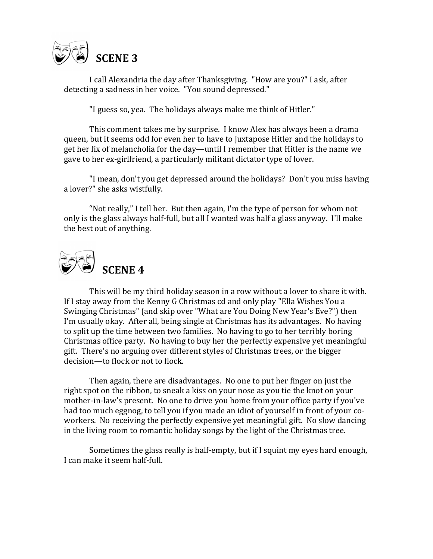

I call Alexandria the day after Thanksgiving. "How are you?" I ask, after detecting a sadness in her voice. "You sound depressed."

"I guess so, yea. The holidays always make me think of Hitler."

This comment takes me by surprise. I know Alex has always been a drama queen, but it seems odd for even her to have to juxtapose Hitler and the holidays to get her fix of melancholia for the day—until I remember that Hitler is the name we gave to her ex-girlfriend, a particularly militant dictator type of lover.

"I mean, don't you get depressed around the holidays? Don't you miss having a lover?" she asks wistfully.

"Not really," I tell her. But then again, I'm the type of person for whom not only is the glass always half-full, but all I wanted was half a glass anyway. I'll make the best out of anything.



This will be my third holiday season in a row without a lover to share it with. If I stay away from the Kenny G Christmas cd and only play "Ella Wishes You a Swinging Christmas" (and skip over "What are You Doing New Year's Eve?") then I'm usually okay. After all, being single at Christmas has its advantages. No having to split up the time between two families. No having to go to her terribly boring Christmas office party. No having to buy her the perfectly expensive yet meaningful gift. There's no arguing over different styles of Christmas trees, or the bigger decision—to flock or not to flock.

Then again, there are disadvantages. No one to put her finger on just the right spot on the ribbon, to sneak a kiss on your nose as you tie the knot on your mother-in-law's present. No one to drive you home from your office party if you've had too much eggnog, to tell you if you made an idiot of yourself in front of your coworkers. No receiving the perfectly expensive yet meaningful gift. No slow dancing in the living room to romantic holiday songs by the light of the Christmas tree.

Sometimes the glass really is half-empty, but if I squint my eyes hard enough, I can make it seem half-full.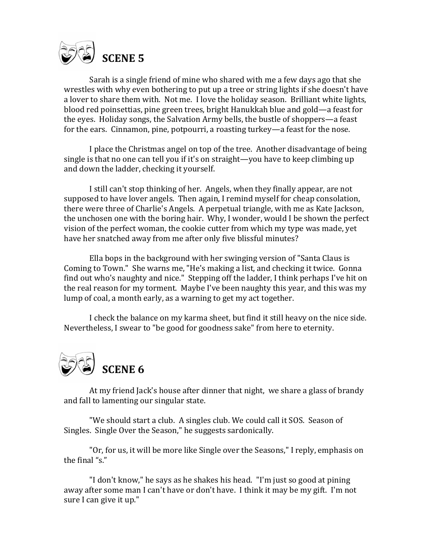

Sarah is a single friend of mine who shared with me a few days ago that she wrestles with why even bothering to put up a tree or string lights if she doesn't have a lover to share them with. Not me. I love the holiday season. Brilliant white lights, blood red poinsettias, pine green trees, bright Hanukkah blue and gold—a feast for the eyes. Holiday songs, the Salvation Army bells, the bustle of shoppers—a feast for the ears. Cinnamon, pine, potpourri, a roasting turkey—a feast for the nose.

I place the Christmas angel on top of the tree. Another disadvantage of being single is that no one can tell you if it's on straight—you have to keep climbing up and down the ladder, checking it yourself.

I still can't stop thinking of her. Angels, when they finally appear, are not supposed to have lover angels. Then again, I remind myself for cheap consolation, there were three of Charlie's Angels. A perpetual triangle, with me as Kate Jackson, the unchosen one with the boring hair. Why, I wonder, would I be shown the perfect vision of the perfect woman, the cookie cutter from which my type was made, yet have her snatched away from me after only five blissful minutes?

Ella bops in the background with her swinging version of "Santa Claus is Coming to Town." She warns me, "He's making a list, and checking it twice. Gonna find out who's naughty and nice." Stepping off the ladder, I think perhaps I've hit on the real reason for my torment. Maybe I've been naughty this year, and this was my lump of coal, a month early, as a warning to get my act together.

I check the balance on my karma sheet, but find it still heavy on the nice side. Nevertheless, I swear to "be good for goodness sake" from here to eternity.



At my friend Jack's house after dinner that night, we share a glass of brandy and fall to lamenting our singular state.

"We should start a club. A singles club. We could call it SOS. Season of Singles. Single Over the Season," he suggests sardonically.

"Or, for us, it will be more like Single over the Seasons," I reply, emphasis on the final " $s$ ."

"I don't know," he says as he shakes his head. "I'm just so good at pining away after some man I can't have or don't have. I think it may be my gift. I'm not sure I can give it up."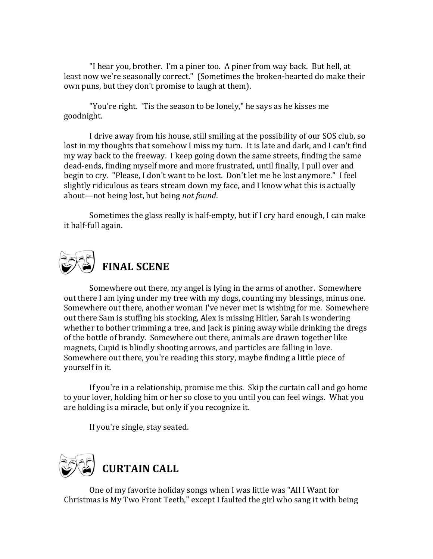"I hear you, brother. I'm a piner too. A piner from way back. But hell, at least now we're seasonally correct." (Sometimes the broken-hearted do make their own puns, but they don't promise to laugh at them).

"You're right. 'Tis the season to be lonely," he says as he kisses me goodnight.

I drive away from his house, still smiling at the possibility of our SOS club, so lost in my thoughts that somehow I miss my turn. It is late and dark, and I can't find my way back to the freeway. I keep going down the same streets, finding the same dead-ends, finding myself more and more frustrated, until finally, I pull over and begin to cry. "Please, I don't want to be lost. Don't let me be lost anymore." I feel slightly ridiculous as tears stream down my face, and I know what this is actually about—not being lost, but being *not found*.

Sometimes the glass really is half-empty, but if I cry hard enough, I can make it half-full again.



Somewhere out there, my angel is lying in the arms of another. Somewhere out there I am lying under my tree with my dogs, counting my blessings, minus one. Somewhere out there, another woman I've never met is wishing for me. Somewhere out there Sam is stuffing his stocking, Alex is missing Hitler, Sarah is wondering whether to bother trimming a tree, and Jack is pining away while drinking the dregs of the bottle of brandy. Somewhere out there, animals are drawn together like magnets, Cupid is blindly shooting arrows, and particles are falling in love. Somewhere out there, you're reading this story, maybe finding a little piece of yourself in it.

If you're in a relationship, promise me this. Skip the curtain call and go home to your lover, holding him or her so close to you until you can feel wings. What you are holding is a miracle, but only if you recognize it.

If you're single, stay seated.



One of my favorite holiday songs when I was little was "All I Want for Christmas is My Two Front Teeth," except I faulted the girl who sang it with being